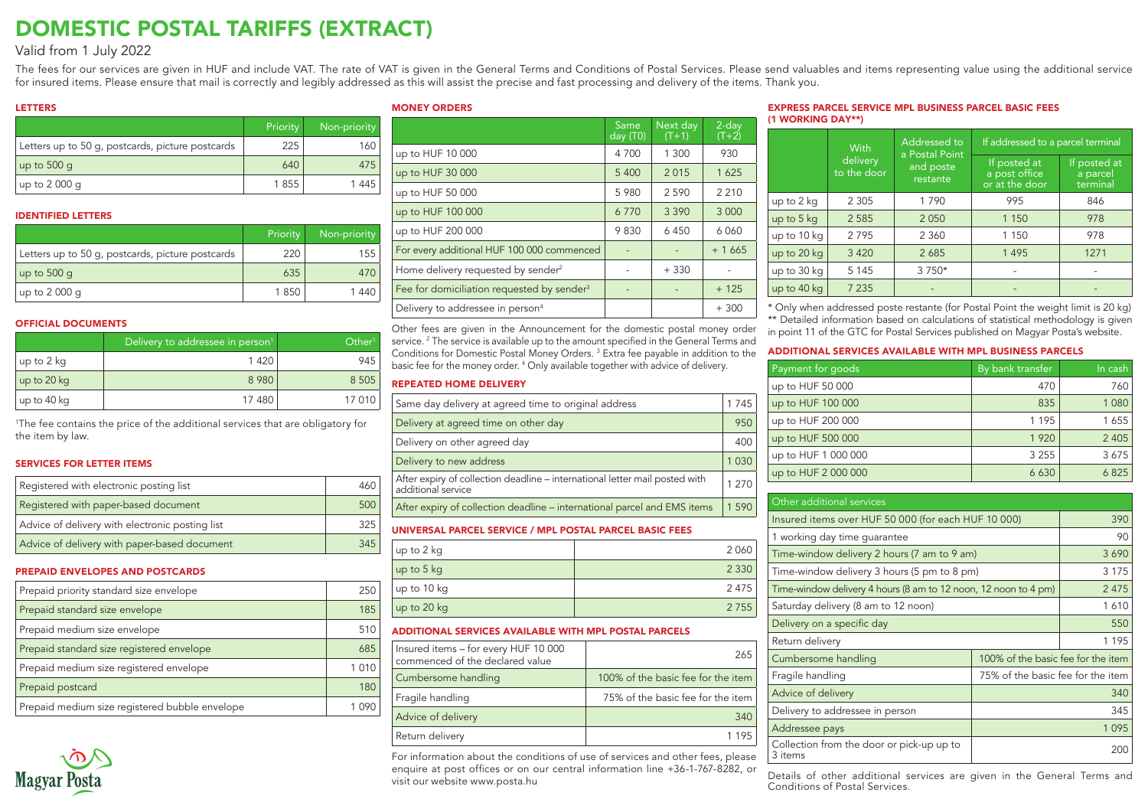# DOMESTIC POSTAL TARIFFS (EXTRACT)

### Valid from 1 July 2022

The fees for our services are given in HUF and include VAT. The rate of VAT is given in the General Terms and Conditions of Postal Services. Please send valuables and items representing value using the additional service for insured items. Please ensure that mail is correctly and legibly addressed as this will assist the precise and fast processing and delivery of the items. Thank you.

#### LETTERS

|                                                  | Priority | Non-priority |  |
|--------------------------------------------------|----------|--------------|--|
| Letters up to 50 g, postcards, picture postcards | 225      | 160          |  |
| $\mu$ p to 500 q                                 | 640      | 475          |  |
| up to 2 000 q                                    | 1855     | 1 4 4 5      |  |

#### IDENTIFIED LETTERS

|                                                  | Priority | Non-priority |
|--------------------------------------------------|----------|--------------|
| Letters up to 50 g, postcards, picture postcards | 220      | 155          |
| up to 500 g                                      | 635      | 470          |
| $\mu$ p to 2 000 q                               | 1850     | 1440         |

#### OFFICIAL DOCUMENTS

|             | Delivery to addressee in person <sup>1</sup> | Other <sup>1</sup> |
|-------------|----------------------------------------------|--------------------|
| up to 2 kg  | 1 4 2 0                                      | 945                |
| up to 20 kg | 8 9 8 0                                      | 8 5 0 5            |
| up to 40 kg | 17 480                                       | 17 010             |

1 The fee contains the price of the additional services that are obligatory for the item by law.

#### SERVICES FOR LETTER ITEMS

| Registered with electronic posting list         |     |  |  |
|-------------------------------------------------|-----|--|--|
| Registered with paper-based document            | 500 |  |  |
| Advice of delivery with electronic posting list | 325 |  |  |
| Advice of delivery with paper-based document    | 345 |  |  |

#### PREPAID ENVELOPES AND POSTCARDS

| Prepaid priority standard size envelope        |       |  |  |
|------------------------------------------------|-------|--|--|
|                                                |       |  |  |
| Prepaid standard size envelope                 | 185   |  |  |
| Prepaid medium size envelope                   | 510   |  |  |
|                                                |       |  |  |
| Prepaid standard size registered envelope      | 685   |  |  |
|                                                |       |  |  |
| Prepaid medium size registered envelope        | 1 010 |  |  |
|                                                |       |  |  |
| Prepaid postcard                               | 180   |  |  |
| Prepaid medium size registered bubble envelope |       |  |  |
|                                                |       |  |  |



#### MONEY ORDERS

|                                                        | Same<br>day (T0) | Next day<br>$(T+1)$ | $2$ -day<br>$(T+2)$ |
|--------------------------------------------------------|------------------|---------------------|---------------------|
| up to HUF 10 000                                       | 4 700            | 1 300               | 930                 |
| up to HUF 30 000                                       | 5 400            | 2015                | 1625                |
| up to HUF 50 000                                       | 5 9 8 0          | 2 5 9 0             | 2 2 1 0             |
| up to HUF 100 000                                      | 6770             | 3 3 9 0             | 3 0 0 0             |
| up to HUF 200 000                                      | 9830             | 6450                | 6060                |
| For every additional HUF 100 000 commenced             |                  |                     | $+1665$             |
| Home delivery requested by sender <sup>2</sup>         |                  | $+330$              |                     |
| Fee for domiciliation requested by sender <sup>3</sup> |                  |                     | $+125$              |
| Delivery to addressee in person <sup>4</sup>           |                  |                     | $+300$              |

Other fees are given in the Announcement for the domestic postal money order service. <sup>2</sup> The service is available up to the amount specified in the General Terms and Conditions for Domestic Postal Money Orders. 3 Extra fee payable in addition to the basic fee for the money order. 4 Only available together with advice of delivery.

#### REPEATED HOME DELIVERY

| Same day delivery at agreed time to original address                                              |  |         |  |  |  |  |
|---------------------------------------------------------------------------------------------------|--|---------|--|--|--|--|
| Delivery at agreed time on other day                                                              |  | 950     |  |  |  |  |
| Delivery on other agreed day                                                                      |  | 400     |  |  |  |  |
| Delivery to new address                                                                           |  | 1 0 3 0 |  |  |  |  |
| After expiry of collection deadline – international letter mail posted with<br>additional service |  | 1 270   |  |  |  |  |
| After expiry of collection deadline – international parcel and EMS items                          |  | 1590    |  |  |  |  |
| UNIVERSAL PARCEL SERVICE / MPL POSTAL PARCEL BASIC FEES                                           |  |         |  |  |  |  |
| up to 2 kg                                                                                        |  | 2 0 6 0 |  |  |  |  |
| up to 5 kg                                                                                        |  | 2 3 3 0 |  |  |  |  |
| up to 10 kg                                                                                       |  | 2 4 7 5 |  |  |  |  |
| up to 20 kg                                                                                       |  |         |  |  |  |  |
| ADDITIONAL SERVICES AVAILABLE WITH MPL POSTAL PARCELS                                             |  |         |  |  |  |  |
| Insured items - for every HUF 10 000<br>commenced of the declared value                           |  | 265     |  |  |  |  |

| I commenced of the declared value |                                     |
|-----------------------------------|-------------------------------------|
| Cumbersome handling               | 100% of the basic fee for the item  |
| Fragile handling                  | 75% of the basic fee for the item I |
| Advice of delivery                | 340                                 |
| Return delivery                   | 1 1 9 5 1                           |

For information about the conditions of use of services and other fees, please enquire at post offices or on our central information line +36-1-767-8282, or visit our website www.posta.hu

#### EXPRESS PARCEL SERVICE MPL BUSINESS PARCEL BASIC FEES (1 WORKING DAY\*\*)

|             | With                    | <b>Addressed to</b><br>a Postal Point | If addressed to a parcel terminal               |                                      |  |  |  |
|-------------|-------------------------|---------------------------------------|-------------------------------------------------|--------------------------------------|--|--|--|
|             | delivery<br>to the door | and poste<br>restante                 | If posted at<br>a post office<br>or at the door | If posted at<br>a parcel<br>terminal |  |  |  |
| up to 2 kg  | 2 3 0 5                 | 1 7 9 0                               | 995                                             | 846                                  |  |  |  |
| up to 5 kg  | 2 5 8 5                 | 2050                                  | 1 1 5 0                                         | 978                                  |  |  |  |
| up to 10 kg | 2795                    | 2 3 6 0                               | 1 1 5 0                                         | 978                                  |  |  |  |
| up to 20 kg | 3 4 2 0                 | 2685                                  | 1 4 9 5                                         | 1271                                 |  |  |  |
| up to 30 kg | 5 1 4 5                 | 3 7 5 0*                              |                                                 |                                      |  |  |  |
| up to 40 kg | 7 2 3 5                 |                                       |                                                 |                                      |  |  |  |

\* Only when addressed poste restante (for Postal Point the weight limit is 20 kg)

\*\* Detailed information based on calculations of statistical methodology is given in point 11 of the GTC for Postal Services published on Magyar Posta's website.

#### ADDITIONAL SERVICES AVAILABLE WITH MPL BUSINESS PARCELS

| Payment for goods   | By bank transfer | In cash |
|---------------------|------------------|---------|
| up to HUF 50 000    | 470              | 760     |
| up to HUF 100 000   | 835              | 1 0 8 0 |
| up to HUF 200 000   | 1 1 9 5          | 1655    |
| up to HUF 500 000   | 1 9 2 0          | 2 4 0 5 |
| up to HUF 1 000 000 | 3 2 5 5          | 3675    |
| up to HUF 2 000 000 | 6630             | 6825    |

| Other additional services                                       |                                    |         |  |  |  |  |  |  |
|-----------------------------------------------------------------|------------------------------------|---------|--|--|--|--|--|--|
| Insured items over HUF 50 000 (for each HUF 10 000)             | 390                                |         |  |  |  |  |  |  |
| 1 working day time guarantee                                    |                                    | 90      |  |  |  |  |  |  |
| Time-window delivery 2 hours (7 am to 9 am)                     |                                    | 3690    |  |  |  |  |  |  |
| Time-window delivery 3 hours (5 pm to 8 pm)                     |                                    | 3 1 7 5 |  |  |  |  |  |  |
| Time-window delivery 4 hours (8 am to 12 noon, 12 noon to 4 pm) |                                    | 2475    |  |  |  |  |  |  |
| Saturday delivery (8 am to 12 noon)                             | 1610                               |         |  |  |  |  |  |  |
| Delivery on a specific day                                      | 550                                |         |  |  |  |  |  |  |
| Return delivery                                                 |                                    | 1 1 9 5 |  |  |  |  |  |  |
| Cumbersome handling                                             | 100% of the basic fee for the item |         |  |  |  |  |  |  |
| Fragile handling                                                | 75% of the basic fee for the item  |         |  |  |  |  |  |  |
| Advice of delivery                                              |                                    |         |  |  |  |  |  |  |
| Delivery to addressee in person                                 | 345                                |         |  |  |  |  |  |  |
| Addressee pays                                                  |                                    | 1095    |  |  |  |  |  |  |
| Collection from the door or pick-up up to<br>3 items            |                                    | 200     |  |  |  |  |  |  |

Details of other additional services are given in the General Terms and Conditions of Postal Services.